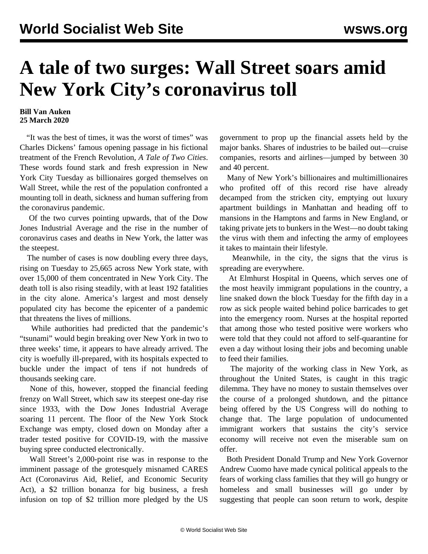## **A tale of two surges: Wall Street soars amid New York City's coronavirus toll**

## **Bill Van Auken 25 March 2020**

 "It was the best of times, it was the worst of times" was Charles Dickens' famous opening passage in his fictional treatment of the French Revolution, *A Tale of Two Cities*. These words found stark and fresh expression in New York City Tuesday as billionaires gorged themselves on Wall Street, while the rest of the population confronted a mounting toll in death, sickness and human suffering from the coronavirus pandemic.

 Of the two curves pointing upwards, that of the Dow Jones Industrial Average and the rise in the number of coronavirus cases and deaths in New York, the latter was the steepest.

 The number of cases is now doubling every three days, rising on Tuesday to 25,665 across New York state, with over 15,000 of them concentrated in New York City. The death toll is also rising steadily, with at least 192 fatalities in the city alone. America's largest and most densely populated city has become the epicenter of a pandemic that threatens the lives of millions.

 While authorities had predicted that the pandemic's "tsunami" would begin breaking over New York in two to three weeks' time, it appears to have already arrived. The city is woefully ill-prepared, with its hospitals expected to buckle under the impact of tens if not hundreds of thousands seeking care.

 None of this, however, stopped the financial feeding frenzy on Wall Street, which saw its steepest one-day rise since 1933, with the Dow Jones Industrial Average soaring 11 percent. The floor of the New York Stock Exchange was empty, closed down on Monday after a trader tested positive for COVID-19, with the massive buying spree conducted electronically.

 Wall Street's 2,000-point rise was in response to the imminent passage of the grotesquely misnamed CARES Act (Coronavirus Aid, Relief, and Economic Security Act), a \$2 trillion bonanza for big business, a fresh infusion on top of \$2 trillion more pledged by the US

government to prop up the financial assets held by the major banks. Shares of industries to be bailed out—cruise companies, resorts and airlines—jumped by between 30 and 40 percent.

 Many of New York's billionaires and multimillionaires who profited off of this record rise have already decamped from the stricken city, emptying out luxury apartment buildings in Manhattan and heading off to mansions in the Hamptons and farms in New England, or taking private jets to bunkers in the West—no doubt taking the virus with them and infecting the army of employees it takes to maintain their lifestyle.

 Meanwhile, in the city, the signs that the virus is spreading are everywhere.

 At Elmhurst Hospital in Queens, which serves one of the most heavily immigrant populations in the country, a line snaked down the block Tuesday for the fifth day in a row as sick people waited behind police barricades to get into the emergency room. Nurses at the hospital reported that among those who tested positive were workers who were told that they could not afford to self-quarantine for even a day without losing their jobs and becoming unable to feed their families.

 The majority of the working class in New York, as throughout the United States, is caught in this tragic dilemma. They have no money to sustain themselves over the course of a prolonged shutdown, and the pittance being offered by the US Congress will do nothing to change that. The large population of undocumented immigrant workers that sustains the city's service economy will receive not even the miserable sum on offer.

 Both President Donald Trump and New York Governor Andrew Cuomo have made cynical political appeals to the fears of working class families that they will go hungry or homeless and small businesses will go under by suggesting that people can soon return to work, despite